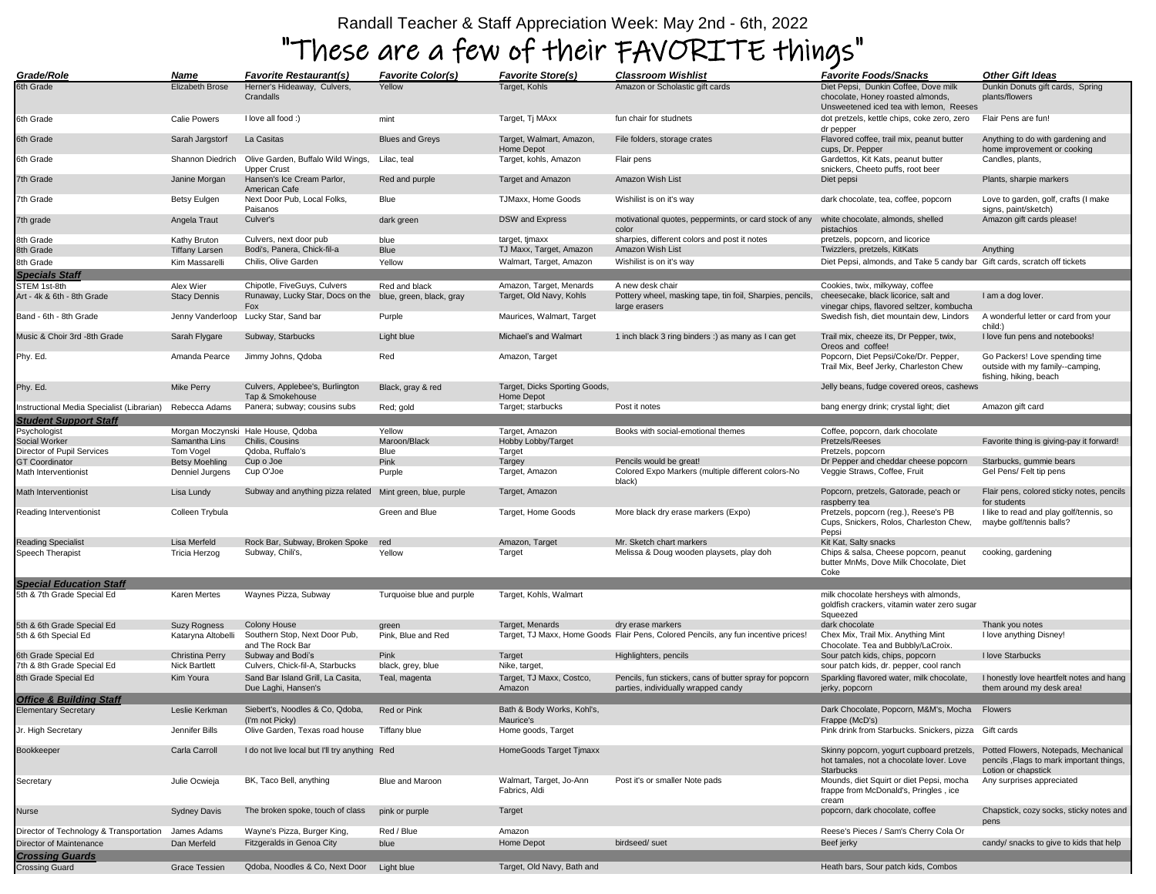## Randall Teacher & Staff Appreciation Week: May 2nd - 6th, 2022

## "These are a few of their FAVORITE things"

| Grade/Role                                 | Name                  | <i>Favorite Restaurant(s)</i>                              | <b>Favorite Color(s)</b>  | <b>Favorite Store(s)</b>                    | <b>Classroom Wishlist</b>                                                                      | <b>Favorite Foods/Snacks</b>                                                                                         | <b>Other Gift Ideas</b>                                                                                 |
|--------------------------------------------|-----------------------|------------------------------------------------------------|---------------------------|---------------------------------------------|------------------------------------------------------------------------------------------------|----------------------------------------------------------------------------------------------------------------------|---------------------------------------------------------------------------------------------------------|
| 6th Grade                                  | Elizabeth Brose       | Herner's Hideaway, Culvers,<br>Crandalls                   | Yellow                    | Target, Kohls                               | Amazon or Scholastic gift cards                                                                | Diet Pepsi, Dunkin Coffee, Dove milk<br>chocolate, Honey roasted almonds,<br>Unsweetened iced tea with lemon, Reeses | Dunkin Donuts gift cards, Spring<br>plants/flowers                                                      |
| 6th Grade                                  | Calie Powers          | I love all food :)                                         | mint                      | Target, Tj MAxx                             | fun chair for studnets                                                                         | dot pretzels, kettle chips, coke zero, zero<br>dr pepper                                                             | Flair Pens are fun!                                                                                     |
| 6th Grade                                  | Sarah Jargstorf       | La Casitas                                                 | <b>Blues and Greys</b>    | Target, Walmart, Amazon,<br>Home Depot      | File folders, storage crates                                                                   | Flavored coffee, trail mix, peanut butter<br>cups, Dr. Pepper                                                        | Anything to do with gardening and<br>home improvement or cooking                                        |
| 6th Grade                                  | Shannon Diedrich      | Olive Garden, Buffalo Wild Wings,<br><b>Upper Crust</b>    | Lilac, teal               | Target, kohls, Amazon                       | Flair pens                                                                                     | Gardettos, Kit Kats, peanut butter<br>snickers, Cheeto puffs, root beer                                              | Candles, plants,                                                                                        |
| 7th Grade                                  | Janine Morgan         | Hansen's Ice Cream Parlor,<br>American Cafe                | Red and purple            | Target and Amazon                           | Amazon Wish List                                                                               | Diet pepsi                                                                                                           | Plants, sharpie markers                                                                                 |
| 7th Grade                                  | Betsy Eulgen          | Next Door Pub, Local Folks,<br>Paisanos                    | Blue                      | TJMaxx, Home Goods                          | Wishilist is on it's way                                                                       | dark chocolate, tea, coffee, popcorn                                                                                 | Love to garden, golf, crafts (I make<br>signs, paint/sketch)                                            |
| 7th grade                                  | Angela Traut          | Culver's                                                   | dark green                | <b>DSW</b> and Express                      | motivational quotes, peppermints, or card stock of any<br>color                                | white chocolate, almonds, shelled<br>pistachios                                                                      | Amazon gift cards please!                                                                               |
| 8th Grade                                  | Kathy Bruton          | Culvers, next door pub                                     | blue                      | target, tjmaxx                              | sharpies, different colors and post it notes                                                   | pretzels, popcorn, and licorice                                                                                      |                                                                                                         |
| 8th Grade                                  | <b>Tiffany Larsen</b> | Bodi's, Panera, Chick-fil-a                                | Blue                      | TJ Maxx, Target, Amazon                     | Amazon Wish List                                                                               | Twizzlers, pretzels, KitKats                                                                                         | Anything                                                                                                |
| 8th Grade                                  | Kim Massarell         | Chilis, Olive Garden                                       | Yellow                    | Walmart, Target, Amazon                     | Wishilist is on it's way                                                                       | Diet Pepsi, almonds, and Take 5 candy bar Gift cards, scratch off tickets                                            |                                                                                                         |
| <b>Specials Staff</b>                      |                       |                                                            |                           |                                             |                                                                                                |                                                                                                                      |                                                                                                         |
| STEM 1st-8th                               | Alex Wier             | Chipotle, FiveGuys, Culvers                                | Red and black             | Amazon, Target, Menards                     | A new desk chair<br>Pottery wheel, masking tape, tin foil, Sharpies, pencils,                  | Cookies, twix, milkyway, coffee<br>cheesecake, black licorice, salt and                                              |                                                                                                         |
| Art - 4k & 6th - 8th Grade                 | <b>Stacy Dennis</b>   | Runaway, Lucky Star, Docs on the<br>Fox                    | blue, green, black, gray  | Target, Old Navy, Kohls                     | large erasers                                                                                  | vinegar chips, flavored seltzer, kombucha                                                                            | I am a dog lover.                                                                                       |
| Band - 6th - 8th Grade                     | Jenny Vanderloop      | Lucky Star, Sand bar                                       | Purple                    | Maurices, Walmart, Target                   |                                                                                                | Swedish fish, diet mountain dew, Lindors                                                                             | A wonderful letter or card from your<br>child:)                                                         |
| Music & Choir 3rd -8th Grade               | Sarah Flygare         | Subway, Starbucks                                          | Light blue                | Michael's and Walmart                       | 1 inch black 3 ring binders :) as many as I can get                                            | Trail mix, cheeze its, Dr Pepper, twix,<br>Oreos and coffee!                                                         | I love fun pens and notebooks!                                                                          |
| Phy. Ed.                                   | Amanda Pearce         | Jimmy Johns, Qdoba                                         | Red                       | Amazon, Target                              |                                                                                                | Popcorn, Diet Pepsi/Coke/Dr. Pepper,                                                                                 | Go Packers! Love spending time                                                                          |
|                                            |                       |                                                            |                           |                                             |                                                                                                | Trail Mix, Beef Jerky, Charleston Chew                                                                               | outside with my family--camping,<br>fishing, hiking, beach                                              |
| Phy. Ed.                                   | <b>Mike Perry</b>     | Culvers, Applebee's, Burlington<br>Tap & Smokehouse        | Black, gray & red         | Target, Dicks Sporting Goods,<br>Home Depot |                                                                                                | Jelly beans, fudge covered oreos, cashews                                                                            |                                                                                                         |
| Instructional Media Specialist (Librarian) | Rebecca Adams         | Panera; subway; cousins subs                               | Red; gold                 | Target; starbucks                           | Post it notes                                                                                  | bang energy drink; crystal light; diet                                                                               | Amazon gift card                                                                                        |
| <b>Student Support Staff</b>               |                       |                                                            |                           |                                             |                                                                                                |                                                                                                                      |                                                                                                         |
| Psychologist                               |                       | Morgan Moczynski Hale House, Qdoba                         | Yellow                    | Target, Amazon                              | Books with social-emotional themes                                                             | Coffee, popcorn, dark chocolate                                                                                      |                                                                                                         |
| Social Worker                              | Samantha Lins         | Chilis, Cousins                                            | Maroon/Black              | Hobby Lobby/Target                          |                                                                                                | Pretzels/Reeses                                                                                                      | Favorite thing is giving-pay it forward!                                                                |
| Director of Pupil Services                 | Tom Vogel             | Qdoba, Ruffalo's                                           | Blue                      | Target                                      |                                                                                                | Pretzels, popcorn                                                                                                    |                                                                                                         |
| <b>GT Coordinator</b>                      | Betsy Moehling        | Cup o Joe                                                  | Pink                      | Targey                                      | Pencils would be great!                                                                        | Dr Pepper and cheddar cheese popcorn<br>Veggie Straws, Coffee, Fruit                                                 | Starbucks, gummie bears                                                                                 |
| Math Interventionist                       | Denniel Jurgens       | Cup O'Joe                                                  | Purple                    | Target, Amazon                              | Colored Expo Markers (multiple different colors-No<br>black)                                   |                                                                                                                      | Gel Pens/ Felt tip pens                                                                                 |
| Math Interventionist                       | Lisa Lundy            | Subway and anything pizza related Mint green, blue, purple |                           | Target, Amazon                              |                                                                                                | Popcorn, pretzels, Gatorade, peach or<br>raspberry tea                                                               | Flair pens, colored sticky notes, pencils<br>for students                                               |
| Reading Interventionist                    | Colleen Trybula       |                                                            | Green and Blue            | Target, Home Goods                          | More black dry erase markers (Expo)                                                            | Pretzels, popcorn (reg.), Reese's PB<br>Cups, Snickers, Rolos, Charleston Chew,<br>Pepsi                             | I like to read and play golf/tennis, so<br>maybe golf/tennis balls?                                     |
| <b>Reading Specialist</b>                  | Lisa Merfeld          | Rock Bar, Subway, Broken Spoke                             | red                       | Amazon, Target                              | Mr. Sketch chart markers                                                                       | Kit Kat, Salty snacks                                                                                                |                                                                                                         |
| Speech Therapist                           | Tricia Herzog         | Subway, Chili's,                                           | Yellow                    | Target                                      | Melissa & Doug wooden playsets, play doh                                                       | Chips & salsa, Cheese popcorn, peanut<br>butter MnMs, Dove Milk Chocolate, Diet<br>Coke                              | cooking, gardening                                                                                      |
| <b>Special Education Staff</b>             |                       |                                                            |                           |                                             |                                                                                                |                                                                                                                      |                                                                                                         |
| 5th & 7th Grade Special Ed                 | Karen Mertes          | Waynes Pizza, Subway                                       | Turquoise blue and purple | Target, Kohls, Walmart                      |                                                                                                | milk chocolate hersheys with almonds,<br>goldfish crackers, vitamin water zero sugar<br>Squeezed                     |                                                                                                         |
| 5th & 6th Grade Special Ed                 | <b>Suzy Rogness</b>   | Colony House                                               | green                     | Target, Menards                             | dry erase markers                                                                              | dark chocolate                                                                                                       | Thank you notes                                                                                         |
| 5th & 6th Special Ed                       | Kataryna Altobelli    | Southern Stop, Next Door Pub,<br>and The Rock Bar          | Pink, Blue and Red        |                                             | Target, TJ Maxx, Home Goods Flair Pens, Colored Pencils, any fun incentive prices!             | Chex Mix, Trail Mix. Anything Mint<br>Chocolate. Tea and Bubbly/LaCroix.                                             | I love anything Disney!                                                                                 |
| 6th Grade Special Ed                       | Christina Perry       | Subway and Bodi's                                          | Pink                      | Target                                      | Highlighters, pencils                                                                          | Sour patch kids, chips, popcorn                                                                                      | I love Starbucks                                                                                        |
| 7th & 8th Grade Special Ed                 | <b>Nick Bartlett</b>  | Culvers, Chick-fil-A, Starbucks                            | black, grey, blue         | Nike, target,                               |                                                                                                | sour patch kids, dr. pepper, cool ranch                                                                              |                                                                                                         |
| 8th Grade Special Ed                       | Kim Youra             | Sand Bar Island Grill, La Casita,<br>Due Laghi, Hansen's   | Teal, magenta             | Target, TJ Maxx, Costco,<br>Amazon          | Pencils, fun stickers, cans of butter spray for popcorn<br>parties, individually wrapped candy | Sparkling flavored water, milk chocolate,<br>jerky, popcorn                                                          | I honestly love heartfelt notes and hang<br>them around my desk area!                                   |
| <b>Office &amp; Building Staff</b>         |                       |                                                            |                           |                                             |                                                                                                |                                                                                                                      |                                                                                                         |
| <b>Elementary Secretary</b>                | Leslie Kerkman        | Siebert's, Noodles & Co, Qdoba,<br>(I'm not Picky)         | Red or Pink               | Bath & Body Works, Kohl's,<br>Maurice's     |                                                                                                | Dark Chocolate, Popcorn, M&M's, Mocha Flowers<br>Frappe (McD's)                                                      |                                                                                                         |
| Jr. High Secretary                         | Jennifer Bills        | Olive Garden, Texas road house                             | Tiffany blue              | Home goods, Target                          |                                                                                                | Pink drink from Starbucks. Snickers, pizza Gift cards                                                                |                                                                                                         |
| Bookkeeper                                 | Carla Carroll         | I do not live local but I'll try anything Red              |                           | HomeGoods Target Timaxx                     |                                                                                                | Skinny popcorn, yogurt cupboard pretzels,<br>hot tamales, not a chocolate lover. Love<br><b>Starbucks</b>            | Potted Flowers, Notepads, Mechanical<br>pencils, Flags to mark important things,<br>Lotion or chapstick |
| Secretary                                  | Julie Ocwieja         | BK, Taco Bell, anything                                    | Blue and Maroon           | Walmart, Target, Jo-Ann<br>Fabrics, Aldi    | Post it's or smaller Note pads                                                                 | Mounds, diet Squirt or diet Pepsi, mocha<br>frappe from McDonald's, Pringles, ice<br>cream                           | Any surprises appreciated                                                                               |
| Nurse                                      | <b>Sydney Davis</b>   | The broken spoke, touch of class                           | pink or purple            | Target                                      |                                                                                                | popcorn, dark chocolate, coffee                                                                                      | Chapstick, cozy socks, sticky notes and<br>pens                                                         |
| Director of Technology & Transportation    | James Adams           | Wayne's Pizza, Burger King,                                | Red / Blue                | Amazon                                      |                                                                                                | Reese's Pieces / Sam's Cherry Cola Or                                                                                |                                                                                                         |
| Director of Maintenance                    | Dan Merfeld           | Fitzgeralds in Genoa City                                  | blue                      | Home Depot                                  | birdseed/ suet                                                                                 | Beef jerky                                                                                                           | candy/ snacks to give to kids that help                                                                 |
| <b>Crossing Guards</b>                     |                       |                                                            |                           |                                             |                                                                                                |                                                                                                                      |                                                                                                         |
| <b>Crossing Guard</b>                      | <b>Grace Tessien</b>  | Qdoba, Noodles & Co, Next Door Light blue                  |                           | Target, Old Navy, Bath and                  |                                                                                                | Heath bars, Sour patch kids, Combos                                                                                  |                                                                                                         |